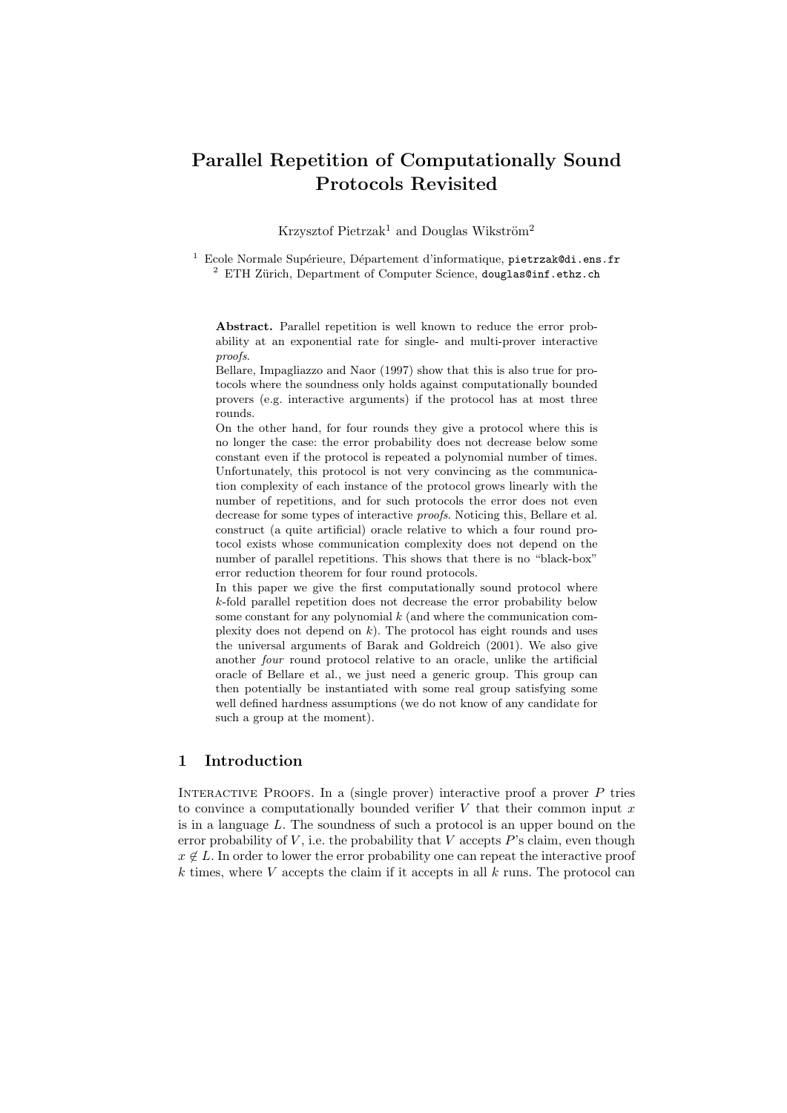# Parallel Repetition of Computationally Sound Protocols Revisited

Krzysztof Pietrzak<sup>1</sup> and Douglas Wikström<sup>2</sup>

<sup>1</sup> Ecole Normale Supérieure, Département d'informatique, pietrzak@di.ens.fr  $2$  ETH Zürich, Department of Computer Science, douglas@inf.ethz.ch

Abstract. Parallel repetition is well known to reduce the error probability at an exponential rate for single- and multi-prover interactive proofs.

Bellare, Impagliazzo and Naor (1997) show that this is also true for protocols where the soundness only holds against computationally bounded provers (e.g. interactive arguments) if the protocol has at most three rounds.

On the other hand, for four rounds they give a protocol where this is no longer the case: the error probability does not decrease below some constant even if the protocol is repeated a polynomial number of times. Unfortunately, this protocol is not very convincing as the communication complexity of each instance of the protocol grows linearly with the number of repetitions, and for such protocols the error does not even decrease for some types of interactive proofs. Noticing this, Bellare et al. construct (a quite artificial) oracle relative to which a four round protocol exists whose communication complexity does not depend on the number of parallel repetitions. This shows that there is no "black-box" error reduction theorem for four round protocols.

In this paper we give the first computationally sound protocol where k-fold parallel repetition does not decrease the error probability below some constant for any polynomial  $k$  (and where the communication complexity does not depend on  $k$ ). The protocol has eight rounds and uses the universal arguments of Barak and Goldreich (2001). We also give another four round protocol relative to an oracle, unlike the artificial oracle of Bellare et al., we just need a generic group. This group can then potentially be instantiated with some real group satisfying some well defined hardness assumptions (we do not know of any candidate for such a group at the moment).

# 1 Introduction

INTERACTIVE PROOFS. In a (single prover) interactive proof a prover  $P$  tries to convince a computationally bounded verifier  $V$  that their common input  $x$ is in a language  $L$ . The soundness of such a protocol is an upper bound on the error probability of  $V$ , i.e. the probability that  $V$  accepts  $P$ 's claim, even though  $x \notin L$ . In order to lower the error probability one can repeat the interactive proof  $k$  times, where  $V$  accepts the claim if it accepts in all  $k$  runs. The protocol can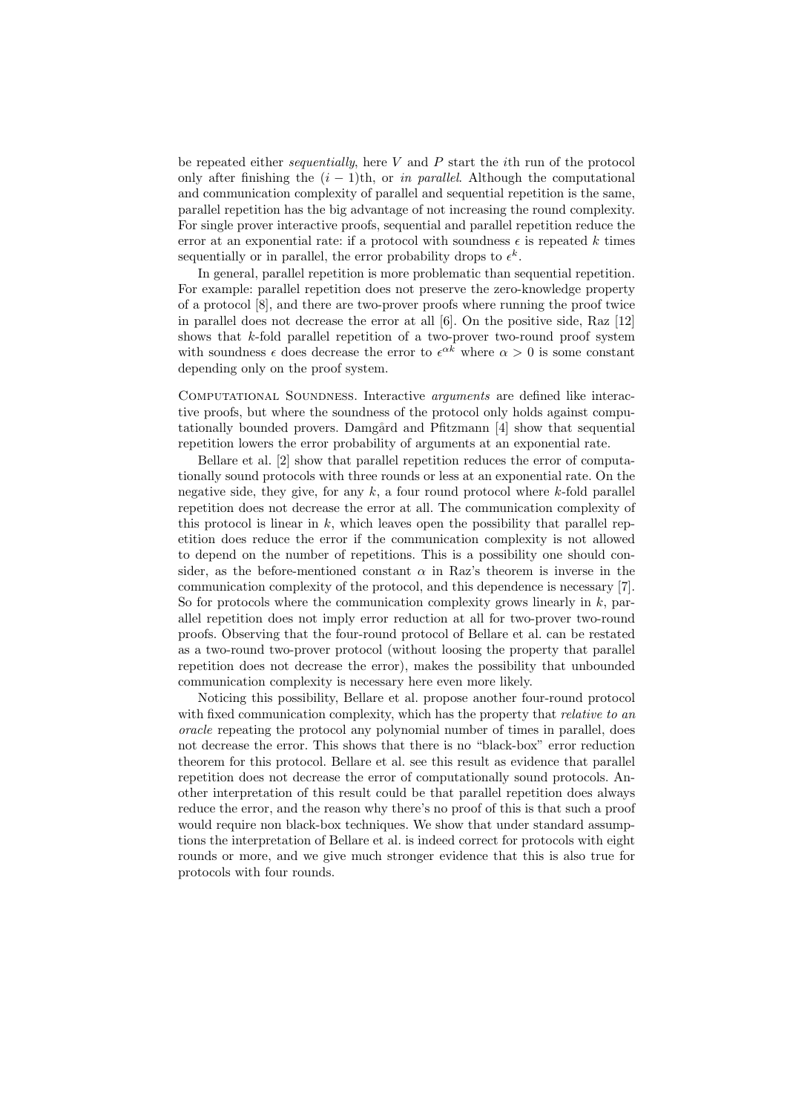be repeated either *sequentially*, here  $V$  and  $P$  start the *i*th run of the protocol only after finishing the  $(i - 1)$ th, or in parallel. Although the computational and communication complexity of parallel and sequential repetition is the same, parallel repetition has the big advantage of not increasing the round complexity. For single prover interactive proofs, sequential and parallel repetition reduce the error at an exponential rate: if a protocol with soundness  $\epsilon$  is repeated k times sequentially or in parallel, the error probability drops to  $\epsilon^k$ .

In general, parallel repetition is more problematic than sequential repetition. For example: parallel repetition does not preserve the zero-knowledge property of a protocol [8], and there are two-prover proofs where running the proof twice in parallel does not decrease the error at all [6]. On the positive side, Raz [12] shows that  $k$ -fold parallel repetition of a two-prover two-round proof system with soundness  $\epsilon$  does decrease the error to  $\epsilon^{\alpha k}$  where  $\alpha > 0$  is some constant depending only on the proof system.

COMPUTATIONAL SOUNDNESS. Interactive arguments are defined like interactive proofs, but where the soundness of the protocol only holds against computationally bounded provers. Damgård and Pfitzmann [4] show that sequential repetition lowers the error probability of arguments at an exponential rate.

Bellare et al. [2] show that parallel repetition reduces the error of computationally sound protocols with three rounds or less at an exponential rate. On the negative side, they give, for any  $k$ , a four round protocol where  $k$ -fold parallel repetition does not decrease the error at all. The communication complexity of this protocol is linear in  $k$ , which leaves open the possibility that parallel repetition does reduce the error if the communication complexity is not allowed to depend on the number of repetitions. This is a possibility one should consider, as the before-mentioned constant  $\alpha$  in Raz's theorem is inverse in the communication complexity of the protocol, and this dependence is necessary [7]. So for protocols where the communication complexity grows linearly in  $k$ , parallel repetition does not imply error reduction at all for two-prover two-round proofs. Observing that the four-round protocol of Bellare et al. can be restated as a two-round two-prover protocol (without loosing the property that parallel repetition does not decrease the error), makes the possibility that unbounded communication complexity is necessary here even more likely.

Noticing this possibility, Bellare et al. propose another four-round protocol with fixed communication complexity, which has the property that *relative to an* oracle repeating the protocol any polynomial number of times in parallel, does not decrease the error. This shows that there is no "black-box" error reduction theorem for this protocol. Bellare et al. see this result as evidence that parallel repetition does not decrease the error of computationally sound protocols. Another interpretation of this result could be that parallel repetition does always reduce the error, and the reason why there's no proof of this is that such a proof would require non black-box techniques. We show that under standard assumptions the interpretation of Bellare et al. is indeed correct for protocols with eight rounds or more, and we give much stronger evidence that this is also true for protocols with four rounds.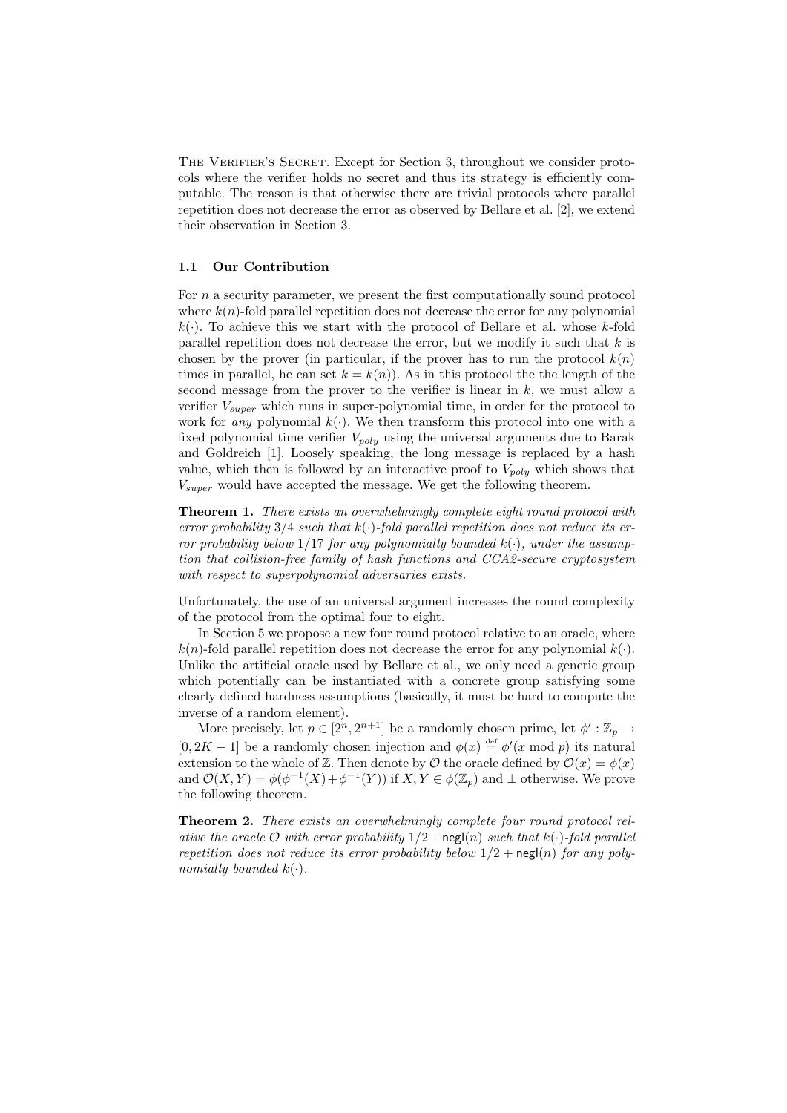THE VERIFIER'S SECRET. Except for Section 3, throughout we consider protocols where the verifier holds no secret and thus its strategy is efficiently computable. The reason is that otherwise there are trivial protocols where parallel repetition does not decrease the error as observed by Bellare et al. [2], we extend their observation in Section 3.

# 1.1 Our Contribution

For  $n$  a security parameter, we present the first computationally sound protocol where  $k(n)$ -fold parallel repetition does not decrease the error for any polynomial  $k(\cdot)$ . To achieve this we start with the protocol of Bellare et al. whose k-fold parallel repetition does not decrease the error, but we modify it such that  $k$  is chosen by the prover (in particular, if the prover has to run the protocol  $k(n)$ times in parallel, he can set  $k = k(n)$ ). As in this protocol the the length of the second message from the prover to the verifier is linear in  $k$ , we must allow a verifier  $V_{super}$  which runs in super-polynomial time, in order for the protocol to work for any polynomial  $k(\cdot)$ . We then transform this protocol into one with a fixed polynomial time verifier  $V_{poly}$  using the universal arguments due to Barak and Goldreich [1]. Loosely speaking, the long message is replaced by a hash value, which then is followed by an interactive proof to  $V_{poly}$  which shows that  $V_{super}$  would have accepted the message. We get the following theorem.

Theorem 1. There exists an overwhelmingly complete eight round protocol with error probability 3/4 such that  $k(\cdot)$ -fold parallel repetition does not reduce its error probability below  $1/17$  for any polynomially bounded  $k(.)$ , under the assumption that collision-free family of hash functions and CCA2-secure cryptosystem with respect to superpolynomial adversaries exists.

Unfortunately, the use of an universal argument increases the round complexity of the protocol from the optimal four to eight.

In Section 5 we propose a new four round protocol relative to an oracle, where  $k(n)$ -fold parallel repetition does not decrease the error for any polynomial  $k(.)$ . Unlike the artificial oracle used by Bellare et al., we only need a generic group which potentially can be instantiated with a concrete group satisfying some clearly defined hardness assumptions (basically, it must be hard to compute the inverse of a random element).

More precisely, let  $p \in [2^n, 2^{n+1}]$  be a randomly chosen prime, let  $\phi' : \mathbb{Z}_p \to$  $[0, 2K-1]$  be a randomly chosen injection and  $\phi(x) \stackrel{\text{def}}{=} \phi'(x \mod p)$  its natural extension to the whole of Z. Then denote by O the oracle defined by  $\mathcal{O}(x) = \phi(x)$ and  $\mathcal{O}(X,Y) = \phi(\phi^{-1}(X) + \phi^{-1}(Y))$  if  $X, Y \in \phi(\mathbb{Z}_p)$  and  $\perp$  otherwise. We prove the following theorem.

Theorem 2. There exists an overwhelmingly complete four round protocol relative the oracle  $\mathcal O$  with error probability  $1/2 + \text{negl}(n)$  such that  $k(\cdot)$ -fold parallel repetition does not reduce its error probability below  $1/2 + \text{negl}(n)$  for any polynomially bounded  $k(.)$ .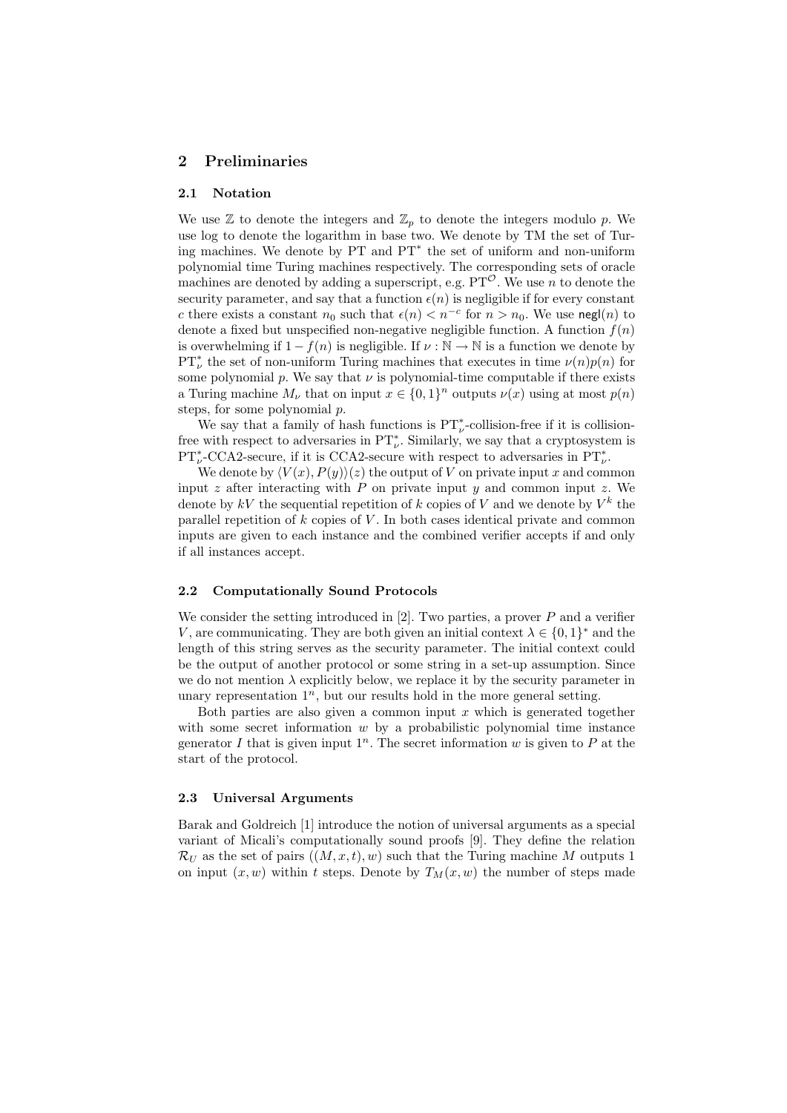# 2 Preliminaries

## 2.1 Notation

We use  $\mathbb Z$  to denote the integers and  $\mathbb Z_p$  to denote the integers modulo p. We use log to denote the logarithm in base two. We denote by TM the set of Turing machines. We denote by PT and PT<sup>∗</sup> the set of uniform and non-uniform polynomial time Turing machines respectively. The corresponding sets of oracle machines are denoted by adding a superscript, e.g.  $PT^{\mathcal{O}}$ . We use *n* to denote the security parameter, and say that a function  $\epsilon(n)$  is negligible if for every constant c there exists a constant  $n_0$  such that  $\epsilon(n) < n^{-c}$  for  $n > n_0$ . We use negl(n) to denote a fixed but unspecified non-negative negligible function. A function  $f(n)$ is overwhelming if  $1 - f(n)$  is negligible. If  $\nu : \mathbb{N} \to \mathbb{N}$  is a function we denote by  $PT^*_{\nu}$  the set of non-uniform Turing machines that executes in time  $\nu(n)p(n)$  for some polynomial p. We say that  $\nu$  is polynomial-time computable if there exists a Turing machine  $M_{\nu}$  that on input  $x \in \{0,1\}^n$  outputs  $\nu(x)$  using at most  $p(n)$ steps, for some polynomial p.

We say that a family of hash functions is  $\mathrm{PT}^*_{\nu}$ -collision-free if it is collisionfree with respect to adversaries in  $PT^*_{\nu}$ . Similarly, we say that a cryptosystem is PT<sup>\*</sup><sub>v</sub>-CCA2-secure, if it is CCA2-secure with respect to adversaries in PT<sup>\*</sup><sub>v</sub>.

We denote by  $\langle V(x), P(y)\rangle(z)$  the output of V on private input x and common input  $z$  after interacting with  $P$  on private input  $y$  and common input  $z$ . We denote by kV the sequential repetition of k copies of V and we denote by  $V^k$  the parallel repetition of  $k$  copies of  $V$ . In both cases identical private and common inputs are given to each instance and the combined verifier accepts if and only if all instances accept.

#### 2.2 Computationally Sound Protocols

We consider the setting introduced in  $[2]$ . Two parties, a prover  $P$  and a verifier V, are communicating. They are both given an initial context  $\lambda \in \{0,1\}^*$  and the length of this string serves as the security parameter. The initial context could be the output of another protocol or some string in a set-up assumption. Since we do not mention  $\lambda$  explicitly below, we replace it by the security parameter in unary representation  $1^n$ , but our results hold in the more general setting.

Both parties are also given a common input  $x$  which is generated together with some secret information  $w$  by a probabilistic polynomial time instance generator I that is given input  $1<sup>n</sup>$ . The secret information w is given to P at the start of the protocol.

#### 2.3 Universal Arguments

Barak and Goldreich [1] introduce the notion of universal arguments as a special variant of Micali's computationally sound proofs [9]. They define the relation  $\mathcal{R}_U$  as the set of pairs  $((M, x, t), w)$  such that the Turing machine M outputs 1 on input  $(x, w)$  within t steps. Denote by  $T_M(x, w)$  the number of steps made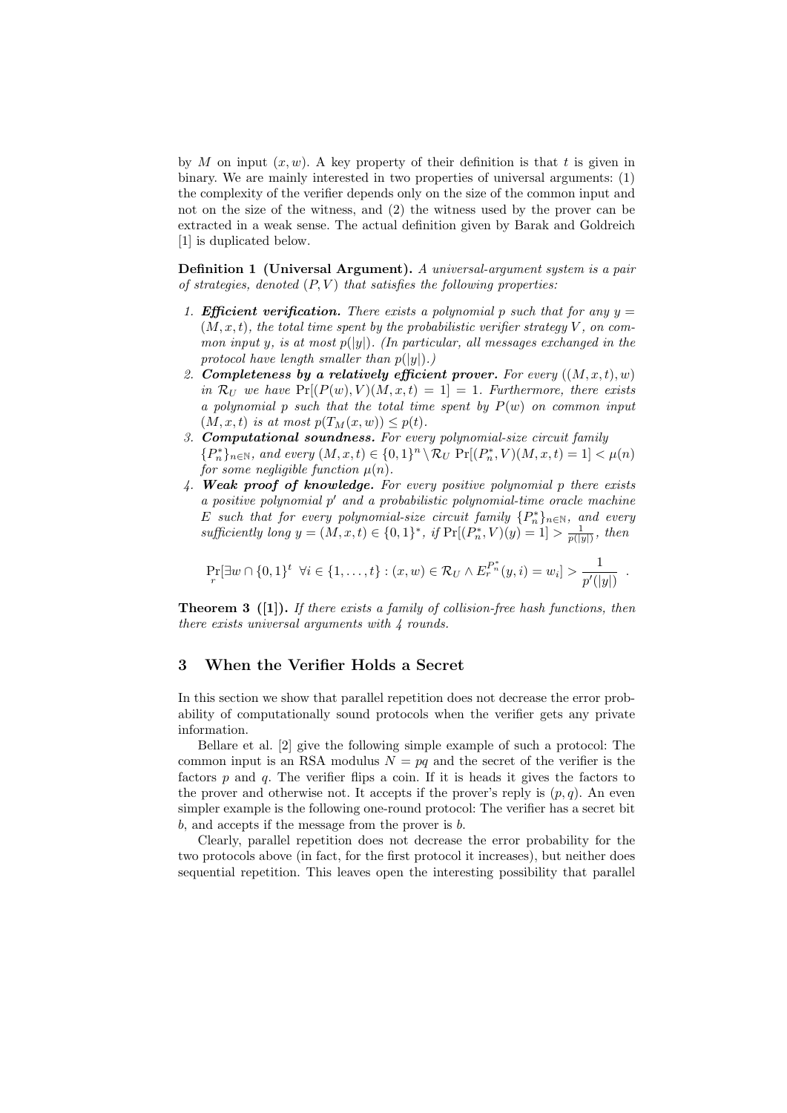by M on input  $(x, w)$ . A key property of their definition is that t is given in binary. We are mainly interested in two properties of universal arguments: (1) the complexity of the verifier depends only on the size of the common input and not on the size of the witness, and (2) the witness used by the prover can be extracted in a weak sense. The actual definition given by Barak and Goldreich [1] is duplicated below.

Definition 1 (Universal Argument). A universal-argument system is a pair of strategies, denoted  $(P, V)$  that satisfies the following properties:

- 1. **Efficient verification.** There exists a polynomial p such that for any  $y =$  $(M, x, t)$ , the total time spent by the probabilistic verifier strategy V, on common input y, is at most  $p(|y|)$ . (In particular, all messages exchanged in the protocol have length smaller than  $p(|y|)$ .)
- 2. Completeness by a relatively efficient prover. For every  $((M, x, t), w)$ in  $\mathcal{R}_U$  we have  $Pr[(P(w), V)(M, x, t) = 1] = 1$ . Furthermore, there exists a polynomial p such that the total time spent by  $P(w)$  on common input  $(M, x, t)$  is at most  $p(T_M(x, w)) \leq p(t)$ .
- 3. Computational soundness. For every polynomial-size circuit family  ${P_n^*}_{n \in \mathbb{N}}$ , and every  $(M, x, t) \in \{0, 1\}^n \setminus \mathcal{R}_U \Pr[(P_n^*, V)(M, x, t) = 1] < \mu(n)$ for some negligible function  $\mu(n)$ .
- 4. Weak proof of knowledge. For every positive polynomial p there exists  $a$  positive polynomial  $p'$  and a probabilistic polynomial-time oracle machine E such that for every polynomial-size circuit family  $\{P_n^*\}_{n\in\mathbb{N}}$ , and every sufficiently long  $y = (M, x, t) \in \{0, 1\}^*$ , if  $Pr[(P_n^*, V)(y) = 1] > \frac{1}{p(|y|)}$ , then

$$
\Pr_r[\exists w \cap \{0,1\}^t \ \forall i \in \{1,\ldots,t\} : (x,w) \in \mathcal{R}_U \wedge E_r^{P_n^*}(y,i) = w_i] > \frac{1}{p'(|y|)}.
$$

**Theorem 3** ([1]). If there exists a family of collision-free hash functions, then there exists universal arguments with 4 rounds.

### 3 When the Verifier Holds a Secret

In this section we show that parallel repetition does not decrease the error probability of computationally sound protocols when the verifier gets any private information.

Bellare et al. [2] give the following simple example of such a protocol: The common input is an RSA modulus  $N = pq$  and the secret of the verifier is the factors  $p$  and  $q$ . The verifier flips a coin. If it is heads it gives the factors to the prover and otherwise not. It accepts if the prover's reply is  $(p, q)$ . An even simpler example is the following one-round protocol: The verifier has a secret bit b, and accepts if the message from the prover is b.

Clearly, parallel repetition does not decrease the error probability for the two protocols above (in fact, for the first protocol it increases), but neither does sequential repetition. This leaves open the interesting possibility that parallel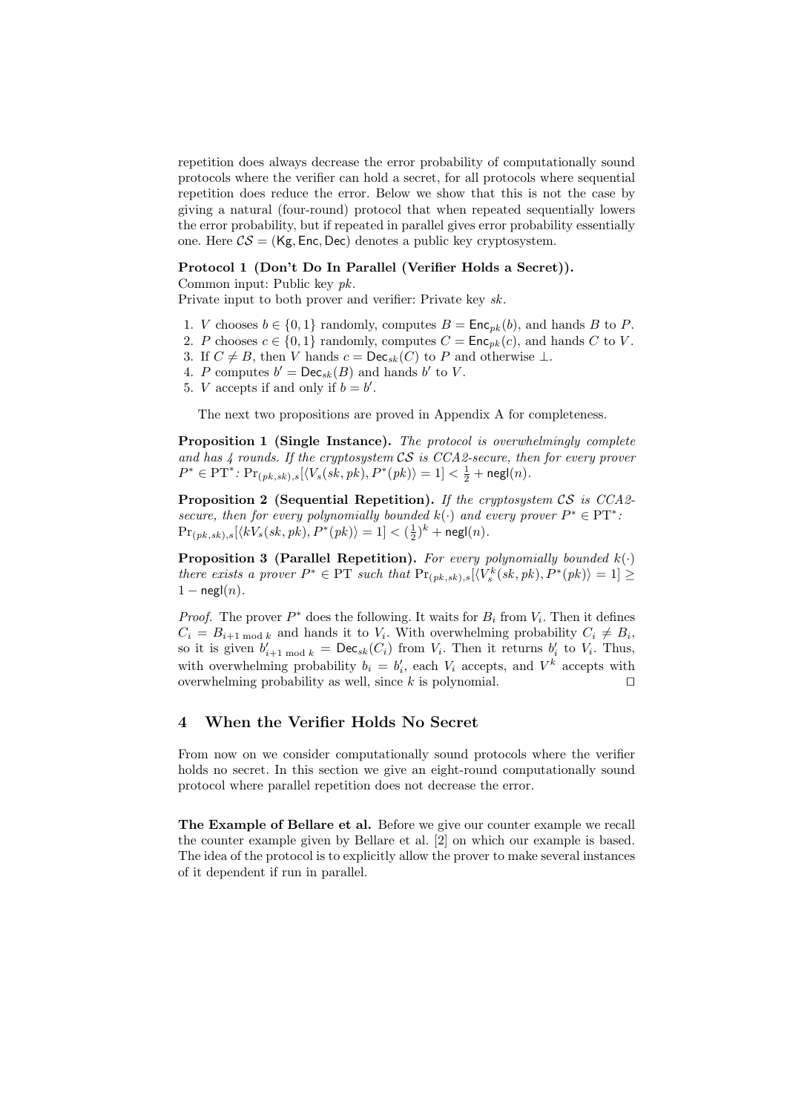repetition does always decrease the error probability of computationally sound protocols where the verifier can hold a secret, for all protocols where sequential repetition does reduce the error. Below we show that this is not the case by giving a natural (four-round) protocol that when repeated sequentially lowers the error probability, but if repeated in parallel gives error probability essentially one. Here  $\mathcal{CS} = (Kg, Enc, Dec)$  denotes a public key cryptosystem.

## Protocol 1 (Don't Do In Parallel (Verifier Holds a Secret)).

Common input: Public key pk.

Private input to both prover and verifier: Private key sk.

- 1. *V* chooses  $b \in \{0, 1\}$  randomly, computes  $B = \text{Enc}_{pk}(b)$ , and hands B to P.
- 2. P chooses  $c \in \{0,1\}$  randomly, computes  $C = \mathsf{Enc}_{nk}(c)$ , and hands C to V.
- 3. If  $C \neq B$ , then V hands  $c = \mathsf{Dec}_{sk}(C)$  to P and otherwise  $\bot$ .
- 4. P computes  $b' = \text{Dec}_{sk}(B)$  and hands b' to V.
- 5. *V* accepts if and only if  $b = b'$ .

The next two propositions are proved in Appendix A for completeness.

Proposition 1 (Single Instance). The protocol is overwhelmingly complete and has  $\lambda$  rounds. If the cryptosystem  $CS$  is CCA2-secure, then for every prover  $P^* \in \operatorname{PT}^* \colon \Pr_{(pk, sk), s}[\langle V_s(sk, pk), P^*(pk) \rangle = 1] < \frac{1}{2} + \mathsf{negl}(n).$ 

**Proposition 2 (Sequential Repetition).** If the cryptosystem  $CS$  is  $CCA2$ secure, then for every polynomially bounded  $k(\cdot)$  and every prover  $P^* \in PT^*$ .  $\Pr_{(pk, sk), s}[\langle kV_s(sk, pk), P^*(pk)\rangle = 1] < (\frac{1}{2})^k + \mathsf{negl}(n).$ 

**Proposition 3 (Parallel Repetition).** For every polynomially bounded  $k(.)$ there exists a prover  $P^* \in \text{PT}$  such that  $\Pr_{(pk, sk), s}[\langle V_s^k(sk, pk), P^*(pk) \rangle = 1] \ge$  $1 - \text{negl}(n)$ .

*Proof.* The prover  $P^*$  does the following. It waits for  $B_i$  from  $V_i$ . Then it defines  $C_i = B_{i+1 \mod k}$  and hands it to  $V_i$ . With overwhelming probability  $C_i \neq B_i$ , so it is given  $b'_{i+1 \mod k} = \mathsf{Dec}_{sk}(C_i)$  from  $V_i$ . Then it returns  $b'_i$  to  $V_i$ . Thus, with overwhelming probability  $b_i = b'_i$ , each  $V_i$  accepts, and  $V^k$  accepts with overwhelming probability as well, since k is polynomial.  $\square$ 

# 4 When the Verifier Holds No Secret

From now on we consider computationally sound protocols where the verifier holds no secret. In this section we give an eight-round computationally sound protocol where parallel repetition does not decrease the error.

The Example of Bellare et al. Before we give our counter example we recall the counter example given by Bellare et al. [2] on which our example is based. The idea of the protocol is to explicitly allow the prover to make several instances of it dependent if run in parallel.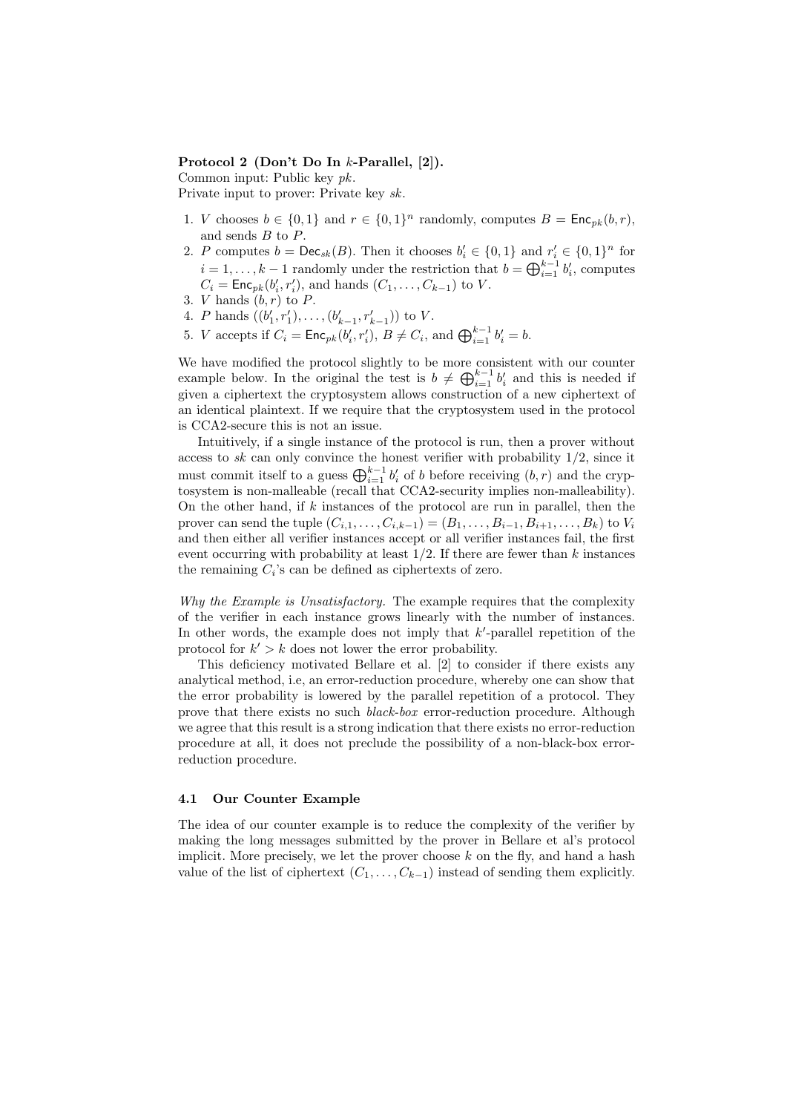#### Protocol 2 (Don't Do In k-Parallel, [2]).

Common input: Public key pk.

Private input to prover: Private key sk.

- 1. *V* chooses  $b \in \{0,1\}$  and  $r \in \{0,1\}^n$  randomly, computes  $B = \text{Enc}_{pk}(b, r)$ , and sends  $B$  to  $P$ .
- 2. P computes  $b = \text{Dec}_{sk}(B)$ . Then it chooses  $b'_i \in \{0,1\}$  and  $r'_i \in \{0,1\}^n$  for  $i = 1, ..., k-1$  randomly under the restriction that  $b = \bigoplus_{i=1}^{k-1} b'_i$ , computes  $C_i = \mathsf{Enc}_{pk}(b'_i, r'_i)$ , and hands  $(C_1, ..., C_{k-1})$  to V.
- 3. V hands  $(b, r)$  to P.
- 4. *P* hands  $((b'_1, r'_1), \ldots, (b'_{k-1}, r'_{k-1}))$  to *V*.
- 5. *V* accepts if  $C_i = \text{Enc}_{pk}(b'_i, r'_i), B \neq C_i$ , and  $\bigoplus_{i=1}^{k-1} b'_i = b$ .

We have modified the protocol slightly to be more consistent with our counter example below. In the original the test is  $b \neq \bigoplus_{i=1}^{k-1} b'_i$  and this is needed if given a ciphertext the cryptosystem allows construction of a new ciphertext of an identical plaintext. If we require that the cryptosystem used in the protocol is CCA2-secure this is not an issue.

Intuitively, if a single instance of the protocol is run, then a prover without access to sk can only convince the honest verifier with probability  $1/2$ , since it must commit itself to a guess  $\bigoplus_{i=1}^{k-1} b_i'$  of b before receiving  $(b, r)$  and the cryptosystem is non-malleable (recall that CCA2-security implies non-malleability). On the other hand, if  $k$  instances of the protocol are run in parallel, then the prover can send the tuple  $(C_{i,1},..., C_{i,k-1}) = (B_1,..., B_{i-1}, B_{i+1},..., B_k)$  to  $V_i$ and then either all verifier instances accept or all verifier instances fail, the first event occurring with probability at least  $1/2$ . If there are fewer than k instances the remaining  $C_i$ 's can be defined as ciphertexts of zero.

Why the Example is Unsatisfactory. The example requires that the complexity of the verifier in each instance grows linearly with the number of instances. In other words, the example does not imply that  $k'$ -parallel repetition of the protocol for  $k' > k$  does not lower the error probability.

This deficiency motivated Bellare et al. [2] to consider if there exists any analytical method, i.e, an error-reduction procedure, whereby one can show that the error probability is lowered by the parallel repetition of a protocol. They prove that there exists no such black-box error-reduction procedure. Although we agree that this result is a strong indication that there exists no error-reduction procedure at all, it does not preclude the possibility of a non-black-box errorreduction procedure.

#### 4.1 Our Counter Example

The idea of our counter example is to reduce the complexity of the verifier by making the long messages submitted by the prover in Bellare et al's protocol implicit. More precisely, we let the prover choose  $k$  on the fly, and hand a hash value of the list of ciphertext  $(C_1, \ldots, C_{k-1})$  instead of sending them explicitly.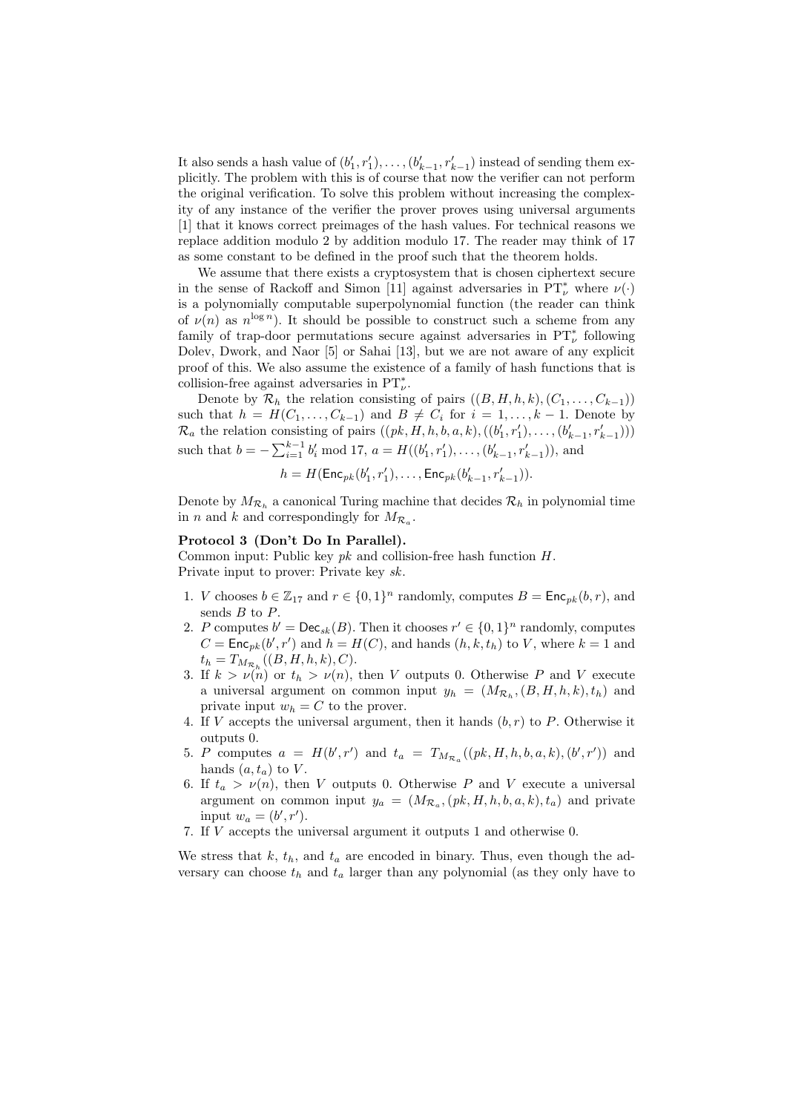It also sends a hash value of  $(b'_1, r'_1), \ldots, (b'_{k-1}, r'_{k-1})$  instead of sending them explicitly. The problem with this is of course that now the verifier can not perform the original verification. To solve this problem without increasing the complexity of any instance of the verifier the prover proves using universal arguments [1] that it knows correct preimages of the hash values. For technical reasons we replace addition modulo 2 by addition modulo 17. The reader may think of 17 as some constant to be defined in the proof such that the theorem holds.

We assume that there exists a cryptosystem that is chosen ciphertext secure in the sense of Rackoff and Simon [11] against adversaries in  $\mathrm{PT}^*_\nu$  where  $\nu(\cdot)$ is a polynomially computable superpolynomial function (the reader can think of  $\nu(n)$  as  $n^{\log n}$ ). It should be possible to construct such a scheme from any family of trap-door permutations secure against adversaries in  $PT^*_{\nu}$  following Dolev, Dwork, and Naor [5] or Sahai [13], but we are not aware of any explicit proof of this. We also assume the existence of a family of hash functions that is collision-free against adversaries in  $PT^*_{\nu}$ .

Denote by  $\mathcal{R}_h$  the relation consisting of pairs  $((B, H, h, k), (C_1, \ldots, C_{k-1}))$ such that  $h = H(C_1, \ldots, C_{k-1})$  and  $B \neq C_i$  for  $i = 1, \ldots, k-1$ . Denote by  $\mathcal{R}_a$  the relation consisting of pairs  $((pk, H, h, b, a, k), ((b'_1, r'_1), \ldots, (b'_{k-1}, r'_{k-1})))$ such that  $b = -\sum_{i=1}^{k-1} b_i' \mod 17$ ,  $a = H((b'_1, r'_1), \ldots, (b'_{k-1}, r'_{k-1}))$ , and

$$
h = H(\mathsf{Enc}_{pk}(b'_1, r'_1), \dots, \mathsf{Enc}_{pk}(b'_{k-1}, r'_{k-1})).
$$

Denote by  $M_{\mathcal{R}_h}$  a canonical Turing machine that decides  $\mathcal{R}_h$  in polynomial time in *n* and *k* and correspondingly for  $M_{\mathcal{R}_a}$ .

#### Protocol 3 (Don't Do In Parallel).

Common input: Public key  $pk$  and collision-free hash function  $H$ . Private input to prover: Private key sk.

- 1. *V* chooses  $b \in \mathbb{Z}_{17}$  and  $r \in \{0,1\}^n$  randomly, computes  $B = \mathsf{Enc}_{pk}(b, r)$ , and sends B to P.
- 2. P computes  $b' = \text{Dec}_{sk}(B)$ . Then it chooses  $r' \in \{0,1\}^n$  randomly, computes  $C = \mathsf{Enc}_{pk}(b', r')$  and  $h = H(C)$ , and hands  $(h, k, t_h)$  to V, where  $k = 1$  and  $t_h = T_{M_{\mathcal{R}_h}}((B, H, h, k), C).$
- 3. If  $k > \nu(n)$  or  $t_h > \nu(n)$ , then V outputs 0. Otherwise P and V execute a universal argument on common input  $y_h = (M_{\mathcal{R}_h}, (B, H, h, k), t_h)$  and private input  $w_h = C$  to the prover.
- 4. If V accepts the universal argument, then it hands  $(b, r)$  to P. Otherwise it outputs 0.
- 5. P computes  $a = H(b', r')$  and  $t_a = T_{M_{\mathcal{R}_a}}((pk, H, h, b, a, k), (b', r'))$  and hands  $(a, t_a)$  to V.
- 6. If  $t_a > \nu(n)$ , then V outputs 0. Otherwise P and V execute a universal argument on common input  $y_a = (M_{\mathcal{R}_a}, (pk, H, h, b, a, k), t_a)$  and private input  $w_a = (b', r').$
- 7. If V accepts the universal argument it outputs 1 and otherwise 0.

We stress that  $k$ ,  $t_h$ , and  $t_a$  are encoded in binary. Thus, even though the adversary can choose  $t<sub>h</sub>$  and  $t<sub>a</sub>$  larger than any polynomial (as they only have to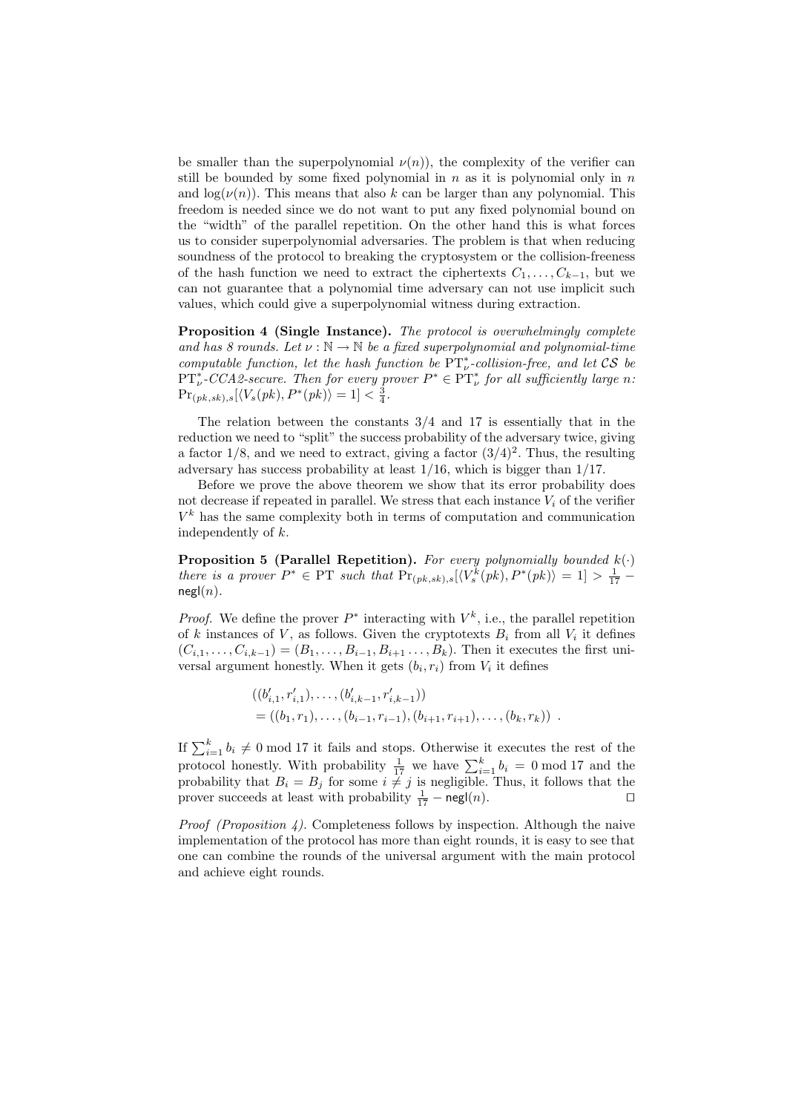be smaller than the superpolynomial  $\nu(n)$ , the complexity of the verifier can still be bounded by some fixed polynomial in  $n$  as it is polynomial only in  $n$ and  $\log(\nu(n))$ . This means that also k can be larger than any polynomial. This freedom is needed since we do not want to put any fixed polynomial bound on the "width" of the parallel repetition. On the other hand this is what forces us to consider superpolynomial adversaries. The problem is that when reducing soundness of the protocol to breaking the cryptosystem or the collision-freeness of the hash function we need to extract the ciphertexts  $C_1, \ldots, C_{k-1}$ , but we can not guarantee that a polynomial time adversary can not use implicit such values, which could give a superpolynomial witness during extraction.

Proposition 4 (Single Instance). The protocol is overwhelmingly complete and has 8 rounds. Let  $\nu : \mathbb{N} \to \mathbb{N}$  be a fixed superpolynomial and polynomial-time computable function, let the hash function be  $PT^*_{\nu}$ -collision-free, and let CS be  $PT_{\nu}^{*}-CCA$ 2-secure. Then for every prover  $P^{*} \in PT_{\nu}^{*}$  for all sufficiently large n:  $Pr_{(pk, sk), s}[\langle V_s(pk), P^*(pk) \rangle = 1] < \frac{3}{4}.$ 

The relation between the constants  $3/4$  and 17 is essentially that in the reduction we need to "split" the success probability of the adversary twice, giving a factor  $1/8$ , and we need to extract, giving a factor  $(3/4)^2$ . Thus, the resulting adversary has success probability at least  $1/16$ , which is bigger than  $1/17$ .

Before we prove the above theorem we show that its error probability does not decrease if repeated in parallel. We stress that each instance  $V_i$  of the verifier  $V<sup>k</sup>$  has the same complexity both in terms of computation and communication independently of k.

**Proposition 5 (Parallel Repetition).** For every polynomially bounded  $k(.)$ there is a prover  $P^* \in PT$  such that  $Pr_{(pk, sk), s}[\langle V_s^k(pk), P^*(pk) \rangle = 1] > \frac{1}{17}$  $negl(n)$ .

*Proof.* We define the prover  $P^*$  interacting with  $V^k$ , i.e., the parallel repetition of k instances of V, as follows. Given the cryptotexts  $B_i$  from all  $V_i$  it defines  $(C_{i,1},..., C_{i,k-1}) = (B_1,...,B_{i-1},B_{i+1},...,B_k)$ . Then it executes the first universal argument honestly. When it gets  $(b_i, r_i)$  from  $V_i$  it defines

$$
((b'_{i,1}, r'_{i,1}), \ldots, (b'_{i,k-1}, r'_{i,k-1}))
$$
  
= ((b<sub>1</sub>, r<sub>1</sub>), \ldots, (b<sub>i-1</sub>, r<sub>i-1</sub>), (b<sub>i+1</sub>, r<sub>i+1</sub>), \ldots, (b<sub>k</sub>, r<sub>k</sub>)) .

If  $\sum_{i=1}^{k} b_i \neq 0 \mod 17$  it fails and stops. Otherwise it executes the rest of the protocol honestly. With probability  $\frac{1}{17}$  we have  $\sum_{i=1}^{k} b_i = 0 \mod 17$  and the probability that  $B_i = B_j$  for some  $i \neq j$  is negligible. Thus, it follows that the prover succeeds at least with probability  $\frac{1}{17}$  – negl(n).  $\frac{1}{17}$  – negl(*n*).

Proof (Proposition 4). Completeness follows by inspection. Although the naive implementation of the protocol has more than eight rounds, it is easy to see that one can combine the rounds of the universal argument with the main protocol and achieve eight rounds.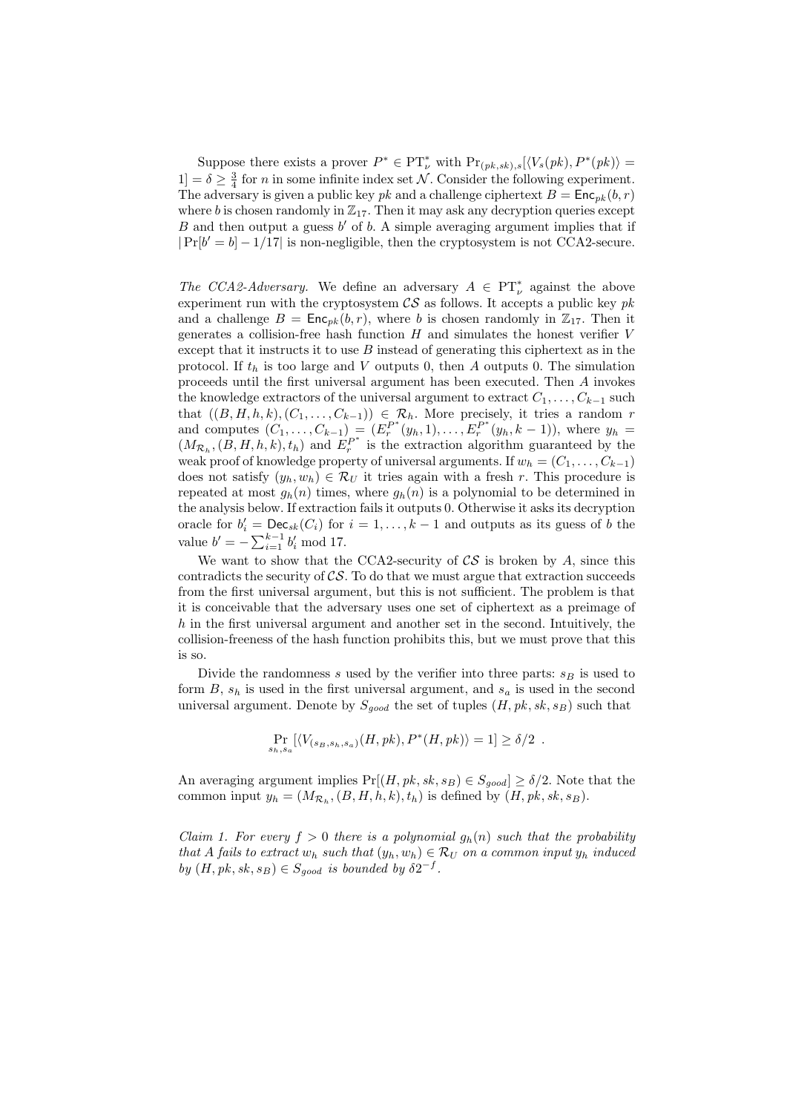Suppose there exists a prover  $P^* \in PT_{\nu}^*$  with  $Pr_{(pk, sk), s}[\langle V_s(pk), P^*(pk) \rangle =$  $1 = \delta \geq \frac{3}{4}$  for *n* in some infinite index set N. Consider the following experiment. The adversary is given a public key pk and a challenge ciphertext  $B = \text{Enc}_{pk}(b, r)$ where b is chosen randomly in  $\mathbb{Z}_{17}$ . Then it may ask any decryption queries except  $B$  and then output a guess  $b'$  of  $b$ . A simple averaging argument implies that if  $|Pr[b' = b] - 1/17|$  is non-negligible, then the cryptosystem is not CCA2-secure.

The CCA2-Adversary. We define an adversary  $A \in PT_{\nu}^*$  against the above experiment run with the cryptosystem  $\mathcal{CS}$  as follows. It accepts a public key pk and a challenge  $B = \text{Enc}_{pk}(b, r)$ , where b is chosen randomly in  $\mathbb{Z}_{17}$ . Then it generates a collision-free hash function  $H$  and simulates the honest verifier  $V$ except that it instructs it to use  $B$  instead of generating this ciphertext as in the protocol. If  $t_h$  is too large and V outputs 0, then A outputs 0. The simulation proceeds until the first universal argument has been executed. Then A invokes the knowledge extractors of the universal argument to extract  $C_1, \ldots, C_{k-1}$  such that  $((B, H, h, k), (C_1, \ldots, C_{k-1})) \in \mathcal{R}_h$ . More precisely, it tries a random r and computes  $(C_1, ..., C_{k-1}) = (E_r^{P^*}(y_h, 1), ..., E_r^{P^*}(y_h, k-1))$ , where  $y_h =$  $(M_{\mathcal{R}_h},(\hat{B},H,h,k),t_h)$  and  $E_r^{P^*}$  is the extraction algorithm guaranteed by the weak proof of knowledge property of universal arguments. If  $w_h = (C_1, \ldots, C_{k-1})$ does not satisfy  $(y_h, w_h) \in \mathcal{R}_U$  it tries again with a fresh r. This procedure is repeated at most  $q_h(n)$  times, where  $q_h(n)$  is a polynomial to be determined in the analysis below. If extraction fails it outputs 0. Otherwise it asks its decryption oracle for  $b'_i = \text{Dec}_{sk}(C_i)$  for  $i = 1, ..., k-1$  and outputs as its guess of b the value  $b' = -\sum_{i=1}^{k-1} b'_i \mod 17$ .

We want to show that the CCA2-security of  $\mathcal{CS}$  is broken by A, since this contradicts the security of  $\mathcal{CS}$ . To do that we must argue that extraction succeeds from the first universal argument, but this is not sufficient. The problem is that it is conceivable that the adversary uses one set of ciphertext as a preimage of  $h$  in the first universal argument and another set in the second. Intuitively, the collision-freeness of the hash function prohibits this, but we must prove that this is so.

Divide the randomness s used by the verifier into three parts:  $s_B$  is used to form  $B$ ,  $s_h$  is used in the first universal argument, and  $s_a$  is used in the second universal argument. Denote by  $S_{qood}$  the set of tuples  $(H, pk, sk, s_B)$  such that

$$
\Pr_{s_h, s_a} [\langle V_{(s_B, s_h, s_a)}(H, pk), P^*(H, pk) \rangle = 1] \ge \delta/2.
$$

An averaging argument implies  $Pr[(H, pk, sk, s_B) \in S_{good}] \ge \delta/2$ . Note that the common input  $y_h = (M_{\mathcal{R}_h}, (B, H, h, k), t_h)$  is defined by  $(H, pk, sk, s_B)$ .

Claim 1. For every  $f > 0$  there is a polynomial  $g_h(n)$  such that the probability that A fails to extract  $w_h$  such that  $(y_h, w_h) \in \mathcal{R}_U$  on a common input  $y_h$  induced by  $(H, pk, sk, s_B) \in S_{good}$  is bounded by  $\delta 2^{-f}$ .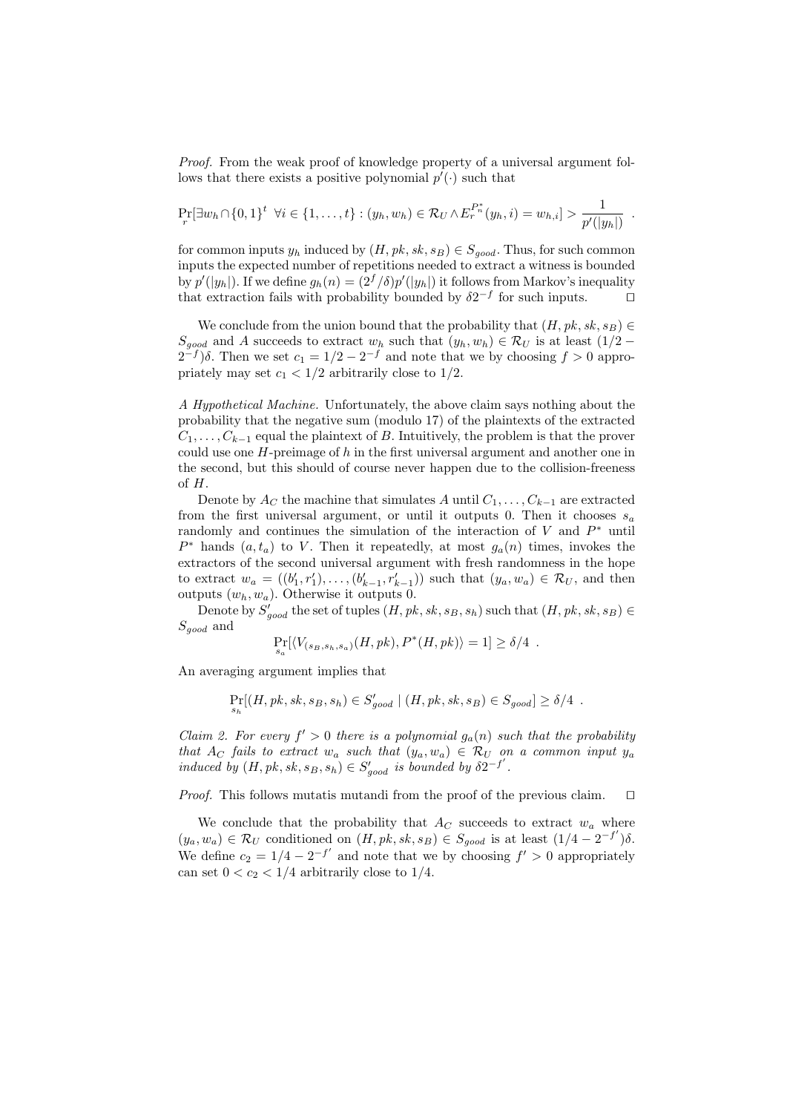Proof. From the weak proof of knowledge property of a universal argument follows that there exists a positive polynomial  $p'(\cdot)$  such that

$$
\Pr_r[\exists w_h \cap \{0,1\}^t \ \forall i \in \{1,\ldots,t\} : (y_h, w_h) \in \mathcal{R}_U \wedge E_r^{P_n^*}(y_h, i) = w_{h,i}] > \frac{1}{p'(|y_h|)}.
$$

for common inputs  $y_h$  induced by  $(H, pk, sk, s_B) \in S_{good}$ . Thus, for such common inputs the expected number of repetitions needed to extract a witness is bounded by  $p'(|y_h|)$ . If we define  $g_h(n) = (2^f/\delta)p'(|y_h|)$  it follows from Markov's inequality that extraction fails with probability bounded by  $\delta 2^{-f}$  for such inputs.  $\Box$ 

We conclude from the union bound that the probability that  $(H, pk, sk, s_B) \in$  $S_{good}$  and A succeeds to extract  $w_h$  such that  $(y_h, w_h) \in \mathcal{R}_U$  is at least  $(1/2 (2^{-f})\delta$ . Then we set  $c_1 = 1/2 - 2^{-f}$  and note that we by choosing  $f > 0$  appropriately may set  $c_1 < 1/2$  arbitrarily close to  $1/2$ .

A Hypothetical Machine. Unfortunately, the above claim says nothing about the probability that the negative sum (modulo 17) of the plaintexts of the extracted  $C_1, \ldots, C_{k-1}$  equal the plaintext of B. Intuitively, the problem is that the prover could use one  $H$ -preimage of h in the first universal argument and another one in the second, but this should of course never happen due to the collision-freeness of H.

Denote by  $A_C$  the machine that simulates A until  $C_1, \ldots, C_{k-1}$  are extracted from the first universal argument, or until it outputs 0. Then it chooses  $s_a$ randomly and continues the simulation of the interaction of  $V$  and  $P^*$  until  $P^*$  hands  $(a, t_a)$  to V. Then it repeatedly, at most  $g_a(n)$  times, invokes the extractors of the second universal argument with fresh randomness in the hope to extract  $w_a = ((b'_1, r'_1), \ldots, (b'_{k-1}, r'_{k-1}))$  such that  $(y_a, w_a) \in \mathcal{R}_U$ , and then outputs  $(w_h, w_a)$ . Otherwise it outputs 0.

Denote by  $S'_{good}$  the set of tuples  $(H, pk, sk, s_B, s_h)$  such that  $(H, pk, sk, s_B) \in$  $S_{good}$  and

$$
\Pr_{s_a}[\langle V_{(s_B,s_h,s_a)}(H,pk),P^*(H,pk)\rangle = 1] \ge \delta/4.
$$

An averaging argument implies that

$$
\Pr_{s_h}[(H, pk, sk, s_B, s_h) \in S'_{good} \mid (H, pk, sk, s_B) \in S_{good}] \ge \delta/4.
$$

Claim 2. For every  $f' > 0$  there is a polynomial  $g_a(n)$  such that the probability that A<sub>C</sub> fails to extract w<sub>a</sub> such that  $(y_a, w_a) \in \mathcal{R}_U$  on a common input  $y_a$ induced by  $(H, pk, sk, s_B, s_h) \in S'_{good}$  is bounded by  $\delta 2^{-f'}$ .

*Proof.* This follows mutatis mutandi from the proof of the previous claim.  $\Box$ 

We conclude that the probability that  $A_C$  succeeds to extract  $w_a$  where  $(y_a, w_a) \in \mathcal{R}_U$  conditioned on  $(H, pk, sk, s_B) \in S_{good}$  is at least  $(1/4 - 2^{-f'})\delta$ . We define  $c_2 = 1/4 - 2^{-f'}$  and note that we by choosing  $f' > 0$  appropriately can set  $0 < c_2 < 1/4$  arbitrarily close to 1/4.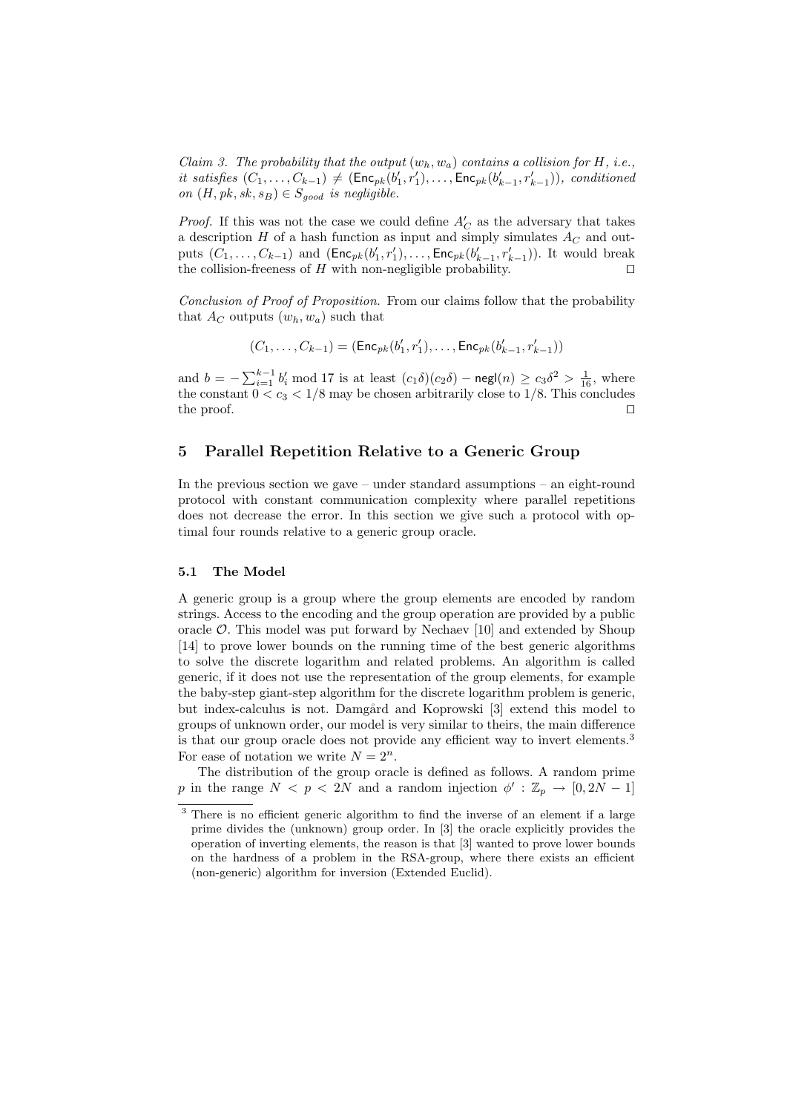Claim 3. The probability that the output  $(w_h, w_a)$  contains a collision for H, i.e., it satisfies  $(C_1, \ldots, C_{k-1}) \neq (\text{Enc}_{pk}(b'_1, r'_1), \ldots, \text{Enc}_{pk}(b'_{k-1}, r'_{k-1}))$ , conditioned on  $(H, pk, sk, s_B) \in S_{good}$  is negligible.

*Proof.* If this was not the case we could define  $A'_{\mathcal{C}}$  as the adversary that takes a description  $H$  of a hash function as input and simply simulates  $A_C$  and outputs  $(C_1, ..., C_{k-1})$  and  $(\text{Enc}_{pk}(b'_1, r'_1), ..., \text{Enc}_{pk}(b'_{k-1}, r'_{k-1}))$ . It would break the collision-freeness of  $H$  with non-negligible probability.  $\square$ 

Conclusion of Proof of Proposition. From our claims follow that the probability that  $A_C$  outputs  $(w_h, w_a)$  such that

$$
(C_1, \ldots, C_{k-1}) = (\text{Enc}_{pk}(b'_1, r'_1), \ldots, \text{Enc}_{pk}(b'_{k-1}, r'_{k-1}))
$$

and  $b = -\sum_{i=1}^{k-1} b'_i \mod 17$  is at least  $(c_1\delta)(c_2\delta) - \text{negl}(n) \ge c_3\delta^2 > \frac{1}{16}$ , where the constant  $0 < c_3 < 1/8$  may be chosen arbitrarily close to  $1/8$ . This concludes the proof.  $\Box$ 

# 5 Parallel Repetition Relative to a Generic Group

In the previous section we gave – under standard assumptions – an eight-round protocol with constant communication complexity where parallel repetitions does not decrease the error. In this section we give such a protocol with optimal four rounds relative to a generic group oracle.

#### 5.1 The Model

A generic group is a group where the group elements are encoded by random strings. Access to the encoding and the group operation are provided by a public oracle  $\mathcal{O}$ . This model was put forward by Nechaev [10] and extended by Shoup [14] to prove lower bounds on the running time of the best generic algorithms to solve the discrete logarithm and related problems. An algorithm is called generic, if it does not use the representation of the group elements, for example the baby-step giant-step algorithm for the discrete logarithm problem is generic, but index-calculus is not. Damgård and Koprowski [3] extend this model to groups of unknown order, our model is very similar to theirs, the main difference is that our group oracle does not provide any efficient way to invert elements.<sup>3</sup> For ease of notation we write  $N = 2^n$ .

The distribution of the group oracle is defined as follows. A random prime p in the range  $N < p < 2N$  and a random injection  $\phi' : \mathbb{Z}_p \to [0, 2N - 1]$ 

<sup>&</sup>lt;sup>3</sup> There is no efficient generic algorithm to find the inverse of an element if a large prime divides the (unknown) group order. In [3] the oracle explicitly provides the operation of inverting elements, the reason is that [3] wanted to prove lower bounds on the hardness of a problem in the RSA-group, where there exists an efficient (non-generic) algorithm for inversion (Extended Euclid).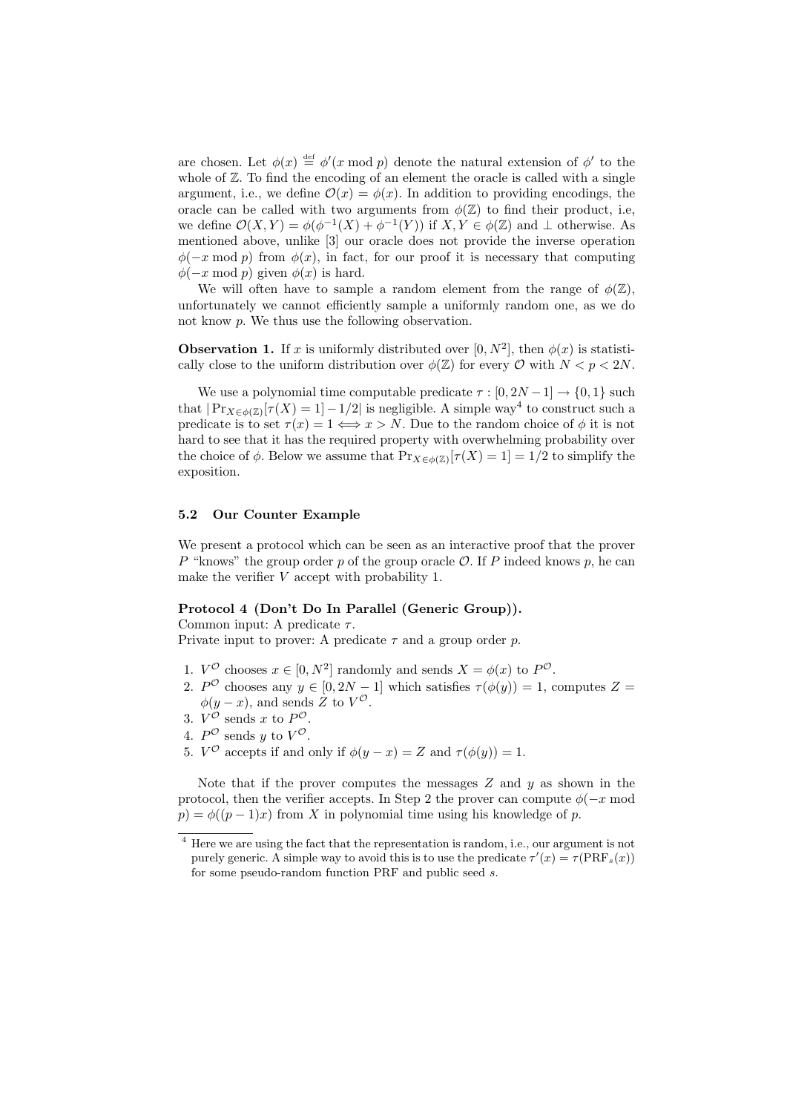are chosen. Let  $\phi(x) \stackrel{\text{def}}{=} \phi'(x \mod p)$  denote the natural extension of  $\phi'$  to the whole of  $\mathbb Z$ . To find the encoding of an element the oracle is called with a single argument, i.e., we define  $\mathcal{O}(x) = \phi(x)$ . In addition to providing encodings, the oracle can be called with two arguments from  $\phi(\mathbb{Z})$  to find their product, i.e, we define  $\mathcal{O}(X,Y) = \phi(\phi^{-1}(X) + \phi^{-1}(Y))$  if  $X,Y \in \phi(\mathbb{Z})$  and  $\perp$  otherwise. As mentioned above, unlike [3] our oracle does not provide the inverse operation  $\phi(-x \mod p)$  from  $\phi(x)$ , in fact, for our proof it is necessary that computing  $\phi(-x \mod p)$  given  $\phi(x)$  is hard.

We will often have to sample a random element from the range of  $\phi(\mathbb{Z})$ . unfortunately we cannot efficiently sample a uniformly random one, as we do not know p. We thus use the following observation.

**Observation 1.** If x is uniformly distributed over  $[0, N^2]$ , then  $\phi(x)$  is statistically close to the uniform distribution over  $\phi(\mathbb{Z})$  for every  $\mathcal{O}$  with  $N < p < 2N$ .

We use a polynomial time computable predicate  $\tau : [0, 2N - 1] \rightarrow \{0, 1\}$  such that  $|\Pr_{X \in \phi(\mathbb{Z})}[\tau(X) = 1] - 1/2|$  is negligible. A simple way<sup>4</sup> to construct such a predicate is to set  $\tau(x) = 1 \Longleftrightarrow x > N$ . Due to the random choice of  $\phi$  it is not hard to see that it has the required property with overwhelming probability over the choice of  $\phi$ . Below we assume that  $Pr_{X \in \phi(\mathbb{Z})}[\tau(X) = 1] = 1/2$  to simplify the exposition.

#### 5.2 Our Counter Example

We present a protocol which can be seen as an interactive proof that the prover  $P$  "knows" the group order  $p$  of the group oracle  $O$ . If  $P$  indeed knows  $p$ , he can make the verifier  $V$  accept with probability 1.

# Protocol 4 (Don't Do In Parallel (Generic Group)).

Common input: A predicate  $\tau$ .

Private input to prover: A predicate  $\tau$  and a group order p.

- 1.  $V^{\mathcal{O}}$  chooses  $x \in [0, N^2]$  randomly and sends  $X = \phi(x)$  to  $P^{\mathcal{O}}$ .
- 2.  $P^{\mathcal{O}}$  chooses any  $y \in [0, 2N-1]$  which satisfies  $\tau(\phi(y)) = 1$ , computes  $Z =$  $\phi(y-x)$ , and sends Z to  $V^{\mathcal{O}}$ .
- 3.  $V^{\mathcal{O}}$  sends x to  $P^{\mathcal{O}}$ .
- 4.  $P^{\mathcal{O}}$  sends y to  $V^{\mathcal{O}}$ .
- 5.  $V^{\mathcal{O}}$  accepts if and only if  $\phi(y-x) = Z$  and  $\tau(\phi(y)) = 1$ .

Note that if the prover computes the messages  $Z$  and  $y$  as shown in the protocol, then the verifier accepts. In Step 2 the prover can compute  $\phi(-x \mod 1)$  $p = \phi((p-1)x)$  from X in polynomial time using his knowledge of p.

<sup>4</sup> Here we are using the fact that the representation is random, i.e., our argument is not purely generic. A simple way to avoid this is to use the predicate  $\tau'(x) = \tau(\text{PRF}_s(x))$ for some pseudo-random function PRF and public seed s.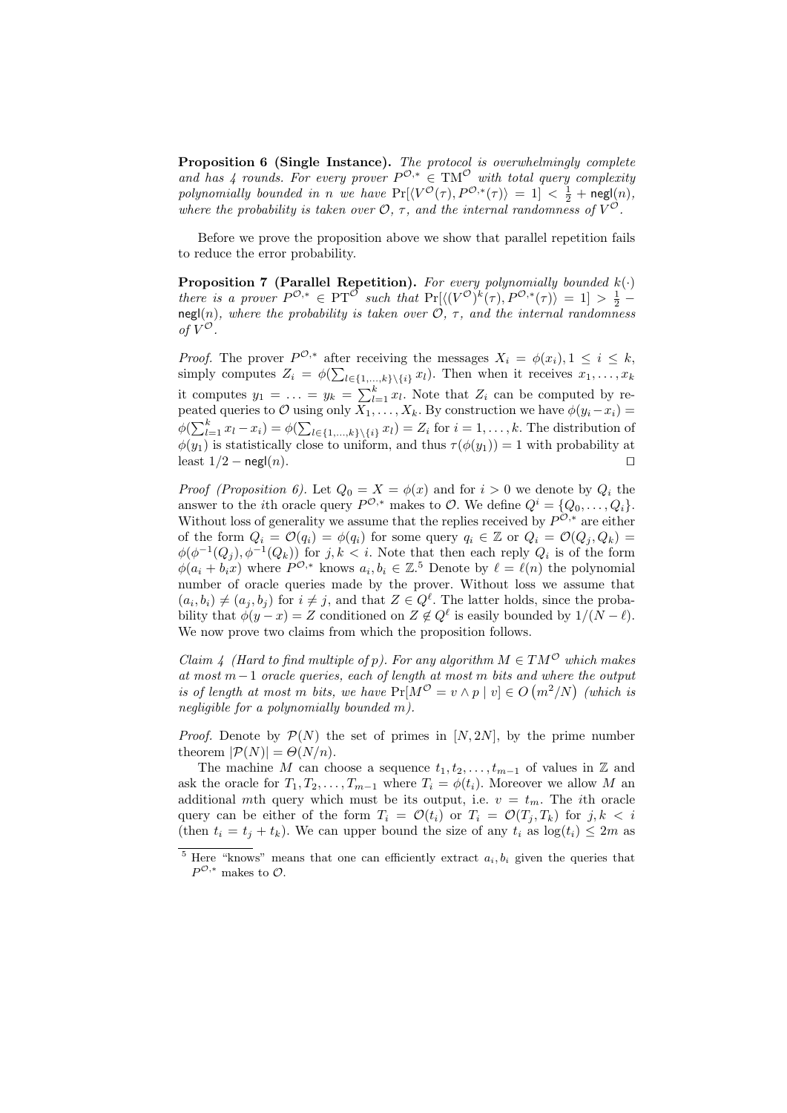Proposition 6 (Single Instance). The protocol is overwhelmingly complete and has 4 rounds. For every prover  $P^{\mathcal{O},*} \in TM^{\mathcal{O}}$  with total query complexity polynomially bounded in n we have  $\Pr[\langle V^{\mathcal{O}}(\tau), P^{\mathcal{O},*}(\tau) \rangle = 1] < \frac{1}{2} + \mathsf{negl}(n),$ where the probability is taken over  $\mathcal{O}, \tau$ , and the internal randomness of  $V^{\mathcal{O}}$ .

Before we prove the proposition above we show that parallel repetition fails to reduce the error probability.

**Proposition 7 (Parallel Repetition).** For every polynomially bounded  $k(.)$ there is a prover  $P^{\mathcal{O},*} \in \text{PT}^{\mathcal{O}}$  such that  $\Pr[\langle (V^{\mathcal{O}})^k(\tau), P^{\mathcal{O},*}(\tau) \rangle = 1] > \frac{1}{2}$ negl(n), where the probability is taken over  $\mathcal{O}, \tau$ , and the internal randomness of  $V^{\mathcal{O}}$ .

*Proof.* The prover  $P^{\mathcal{O},*}$  after receiving the messages  $X_i = \phi(x_i), 1 \leq i \leq k$ , simply computes  $Z_i = \phi(\sum_{l \in \{1,\ldots,k\}\setminus\{i\}} x_l)$ . Then when it receives  $x_1, \ldots, x_k$ it computes  $y_1 = \ldots = y_k = \sum_{l=1}^k x_l$ . Note that  $Z_i$  can be computed by repeated queries to  $\mathcal O$  using only  $X_1, \ldots, X_k$ . By construction we have  $\phi(y_i-x_i) =$  $\phi(\sum_{l=1}^k x_l - x_i) = \phi(\sum_{l \in \{1,\dots,k\} \setminus \{i\}} x_l) = Z_i$  for  $i = 1,\dots,k$ . The distribution of  $\phi(y_1)$  is statistically close to uniform, and thus  $\tau(\phi(y_1)) = 1$  with probability at least  $1/2$  – negl $(n)$ .

*Proof (Proposition 6)*. Let  $Q_0 = X = \phi(x)$  and for  $i > 0$  we denote by  $Q_i$  the answer to the *i*th oracle query  $P^{\mathcal{O},*}$  makes to  $\mathcal{O}$ . We define  $Q^i = \{Q_0, \ldots, Q_i\}$ . Without loss of generality we assume that the replies received by  $P^{\mathcal{O},*}$  are either of the form  $Q_i = \mathcal{O}(q_i) = \phi(q_i)$  for some query  $q_i \in \mathbb{Z}$  or  $Q_i = \mathcal{O}(Q_i, Q_k)$  $\phi(\phi^{-1}(Q_j), \phi^{-1}(Q_k))$  for  $j, k < i$ . Note that then each reply  $Q_i$  is of the form  $\phi(a_i + b_i x)$  where  $P^{\mathcal{O},*}$  knows  $a_i, b_i \in \mathbb{Z}^5$  Denote by  $\ell = \ell(n)$  the polynomial number of oracle queries made by the prover. Without loss we assume that  $(a_i, b_i) \neq (a_j, b_j)$  for  $i \neq j$ , and that  $Z \in Q^{\ell}$ . The latter holds, since the probability that  $\phi(y-x) = Z$  conditioned on  $Z \notin Q^{\ell}$  is easily bounded by  $1/(N - \ell)$ . We now prove two claims from which the proposition follows.

Claim 4 (Hard to find multiple of p). For any algorithm  $M \in TM^{\mathcal{O}}$  which makes at most m−1 oracle queries, each of length at most m bits and where the output is of length at most m bits, we have  $Pr[M^{\mathcal{O}} = v \wedge p \mid v] \in O(m^2/N)$  (which is negligible for a polynomially bounded m).

*Proof.* Denote by  $\mathcal{P}(N)$  the set of primes in  $[N, 2N]$ , by the prime number theorem  $|\mathcal{P}(N)| = \Theta(N/n)$ .

The machine M can choose a sequence  $t_1, t_2, \ldots, t_{m-1}$  of values in Z and ask the oracle for  $T_1, T_2, \ldots, T_{m-1}$  where  $T_i = \phi(t_i)$ . Moreover we allow M an additional mth query which must be its output, i.e.  $v = t_m$ . The *i*th oracle query can be either of the form  $T_i = \mathcal{O}(t_i)$  or  $T_i = \mathcal{O}(T_j, T_k)$  for  $j, k \lt i$ (then  $t_i = t_j + t_k$ ). We can upper bound the size of any  $t_i$  as  $log(t_i) \leq 2m$  as

<sup>&</sup>lt;sup>5</sup> Here "knows" means that one can efficiently extract  $a_i, b_i$  given the queries that  $P^{\mathcal{O},*}$  makes to  $\mathcal{O}.$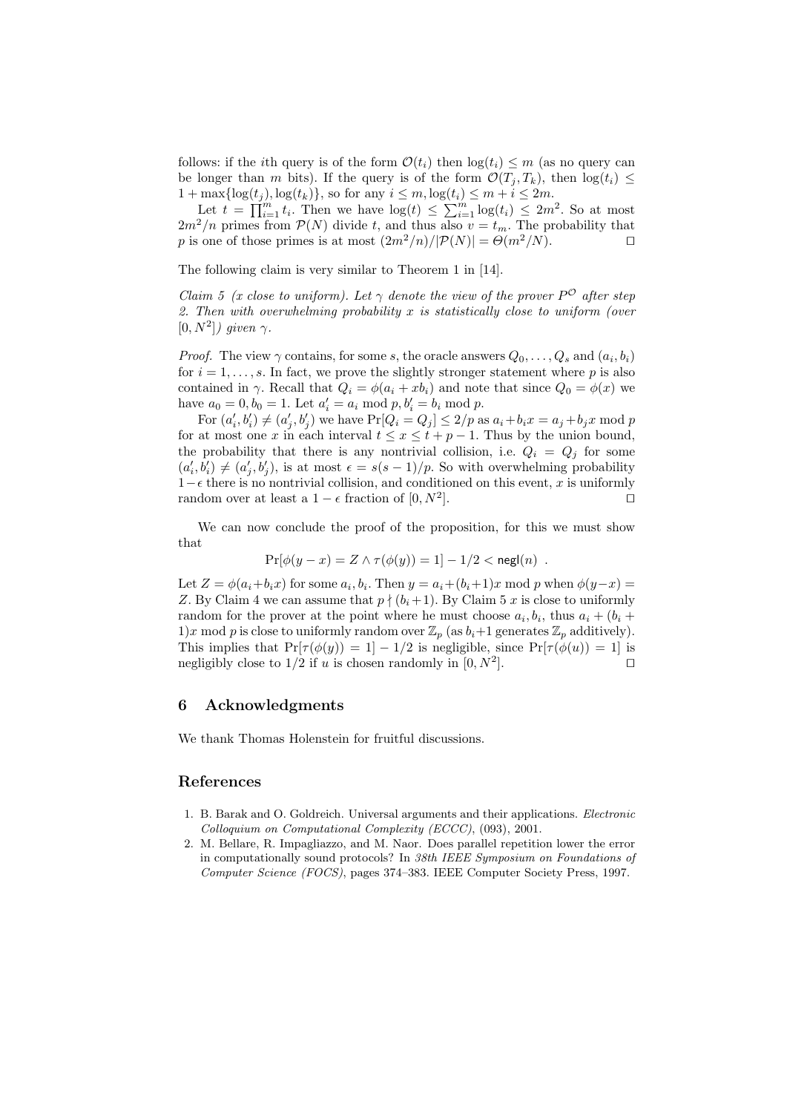follows: if the *i*th query is of the form  $\mathcal{O}(t_i)$  then  $\log(t_i) \leq m$  (as no query can be longer than m bits). If the query is of the form  $\mathcal{O}(T_i, T_k)$ , then  $\log(t_i) \leq$  $1 + \max\{\log(t_j), \log(t_k)\}\)$ , so for any  $i \leq m$ ,  $\log(t_i) \leq m + i \leq 2m$ .

Let  $t = \prod_{i=1}^m t_i$ . Then we have  $\log(t) \leq \sum_{i=1}^m \log(t_i) \leq 2m^2$ . So at most  $2m^2/n$  primes from  $\mathcal{P}(N)$  divide t, and thus also  $v = t_m$ . The probability that p is one of those primes is at most  $\left(\frac{2m^2}{n}\right)/|\mathcal{P}(N)| = \Theta(m^2/N)$ .

The following claim is very similar to Theorem 1 in [14].

Claim 5 (x close to uniform). Let  $\gamma$  denote the view of the prover  $P^{\mathcal{O}}$  after step 2. Then with overwhelming probability x is statistically close to uniform (over  $[0, N^2]$ ) given  $\gamma$ .

*Proof.* The view  $\gamma$  contains, for some s, the oracle answers  $Q_0, \ldots, Q_s$  and  $(a_i, b_i)$ for  $i = 1, \ldots, s$ . In fact, we prove the slightly stronger statement where p is also contained in  $\gamma$ . Recall that  $Q_i = \phi(a_i + xb_i)$  and note that since  $Q_0 = \phi(x)$  we have  $a_0 = 0, b_0 = 1$ . Let  $a'_i = a_i \mod p, b'_i = b_i \mod p$ .

For  $(a'_i, b'_i) \neq (a'_j, b'_j)$  we have  $Pr[Q_i = Q_j] \leq 2/p$  as  $a_i + b_i x = a_j + b_j x \mod p$ for at most one x in each interval  $t \leq x \leq t + p - 1$ . Thus by the union bound, the probability that there is any nontrivial collision, i.e.  $Q_i = Q_j$  for some  $(a'_i, b'_i) \neq (a'_j, b'_j)$ , is at most  $\epsilon = s(s-1)/p$ . So with overwhelming probability 1− $\epsilon$  there is no nontrivial collision, and conditioned on this event, x is uniformly random over at least a  $1 - \epsilon$  fraction of [0,  $N^2$ ]. ].  $\qquad \qquad \Box$ 

We can now conclude the proof of the proposition, for this we must show that

$$
\Pr[\phi(y-x) = Z \land \tau(\phi(y)) = 1] - 1/2 < \mathsf{negl}(n) .
$$

Let  $Z = \phi(a_i + b_i x)$  for some  $a_i, b_i$ . Then  $y = a_i + (b_i + 1)x \mod p$  when  $\phi(y - x) =$ Z. By Claim 4 we can assume that  $p \nmid (b_i+1)$ . By Claim 5 x is close to uniformly random for the prover at the point where he must choose  $a_i, b_i$ , thus  $a_i + (b_i +$ 1)x mod p is close to uniformly random over  $\mathbb{Z}_p$  (as  $b_i+1$  generates  $\mathbb{Z}_p$  additively). This implies that  $Pr[\tau(\phi(y)) = 1] - 1/2$  is negligible, since  $Pr[\tau(\phi(u)) = 1]$  is negligibly close to  $1/2$  if u is chosen randomly in [0,  $N^2$ ].  $\Box$ 

# 6 Acknowledgments

We thank Thomas Holenstein for fruitful discussions.

## References

- 1. B. Barak and O. Goldreich. Universal arguments and their applications. Electronic Colloquium on Computational Complexity (ECCC), (093), 2001.
- 2. M. Bellare, R. Impagliazzo, and M. Naor. Does parallel repetition lower the error in computationally sound protocols? In 38th IEEE Symposium on Foundations of Computer Science (FOCS), pages 374–383. IEEE Computer Society Press, 1997.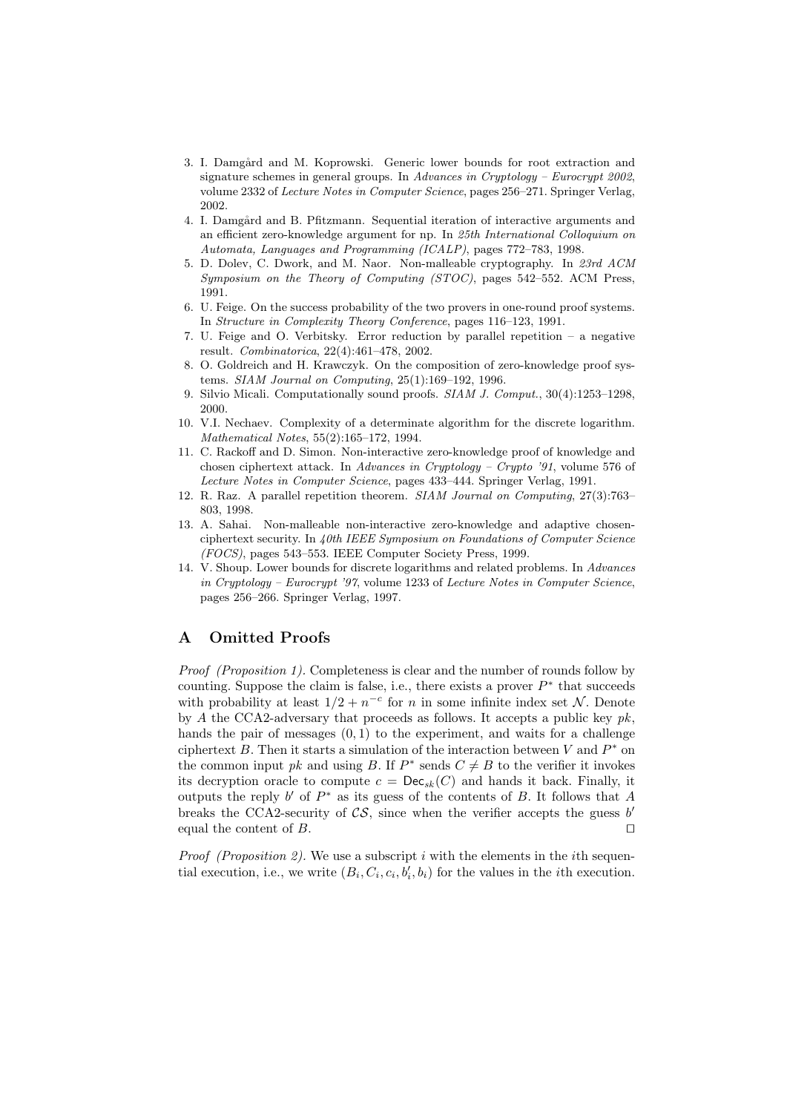- 3. I. Damgård and M. Koprowski. Generic lower bounds for root extraction and signature schemes in general groups. In Advances in Cryptology – Eurocrypt 2002, volume 2332 of Lecture Notes in Computer Science, pages 256–271. Springer Verlag, 2002.
- 4. I. Damgård and B. Pfitzmann. Sequential iteration of interactive arguments and an efficient zero-knowledge argument for np. In 25th International Colloquium on Automata, Languages and Programming (ICALP), pages 772–783, 1998.
- 5. D. Dolev, C. Dwork, and M. Naor. Non-malleable cryptography. In 23rd ACM Symposium on the Theory of Computing (STOC), pages 542–552. ACM Press, 1991.
- 6. U. Feige. On the success probability of the two provers in one-round proof systems. In Structure in Complexity Theory Conference, pages 116–123, 1991.
- 7. U. Feige and O. Verbitsky. Error reduction by parallel repetition a negative result. Combinatorica, 22(4):461–478, 2002.
- 8. O. Goldreich and H. Krawczyk. On the composition of zero-knowledge proof systems. SIAM Journal on Computing, 25(1):169–192, 1996.
- 9. Silvio Micali. Computationally sound proofs. SIAM J. Comput., 30(4):1253–1298, 2000.
- 10. V.I. Nechaev. Complexity of a determinate algorithm for the discrete logarithm. Mathematical Notes, 55(2):165–172, 1994.
- 11. C. Rackoff and D. Simon. Non-interactive zero-knowledge proof of knowledge and chosen ciphertext attack. In Advances in Cryptology – Crypto '91, volume 576 of Lecture Notes in Computer Science, pages 433–444. Springer Verlag, 1991.
- 12. R. Raz. A parallel repetition theorem. SIAM Journal on Computing, 27(3):763– 803, 1998.
- 13. A. Sahai. Non-malleable non-interactive zero-knowledge and adaptive chosenciphertext security. In 40th IEEE Symposium on Foundations of Computer Science (FOCS), pages 543–553. IEEE Computer Society Press, 1999.
- 14. V. Shoup. Lower bounds for discrete logarithms and related problems. In Advances in Cryptology – Eurocrypt '97, volume 1233 of Lecture Notes in Computer Science, pages 256–266. Springer Verlag, 1997.

# A Omitted Proofs

Proof (Proposition 1). Completeness is clear and the number of rounds follow by counting. Suppose the claim is false, i.e., there exists a prover  $P^*$  that succeeds with probability at least  $1/2 + n^{-c}$  for n in some infinite index set N. Denote by A the CCA2-adversary that proceeds as follows. It accepts a public key  $pk$ , hands the pair of messages  $(0, 1)$  to the experiment, and waits for a challenge ciphertext  $B$ . Then it starts a simulation of the interaction between  $V$  and  $P^*$  on the common input pk and using B. If  $P^*$  sends  $C \neq B$  to the verifier it invokes its decryption oracle to compute  $c = \mathsf{Dec}_{sk}(C)$  and hands it back. Finally, it outputs the reply b' of  $P^*$  as its guess of the contents of B. It follows that A breaks the CCA2-security of  $\mathcal{CS}$ , since when the verifier accepts the guess b equal the content of  $B$ .

*Proof (Proposition 2).* We use a subscript i with the elements in the ith sequential execution, i.e., we write  $(B_i, C_i, c_i, b'_i, b_i)$  for the values in the *i*th execution.